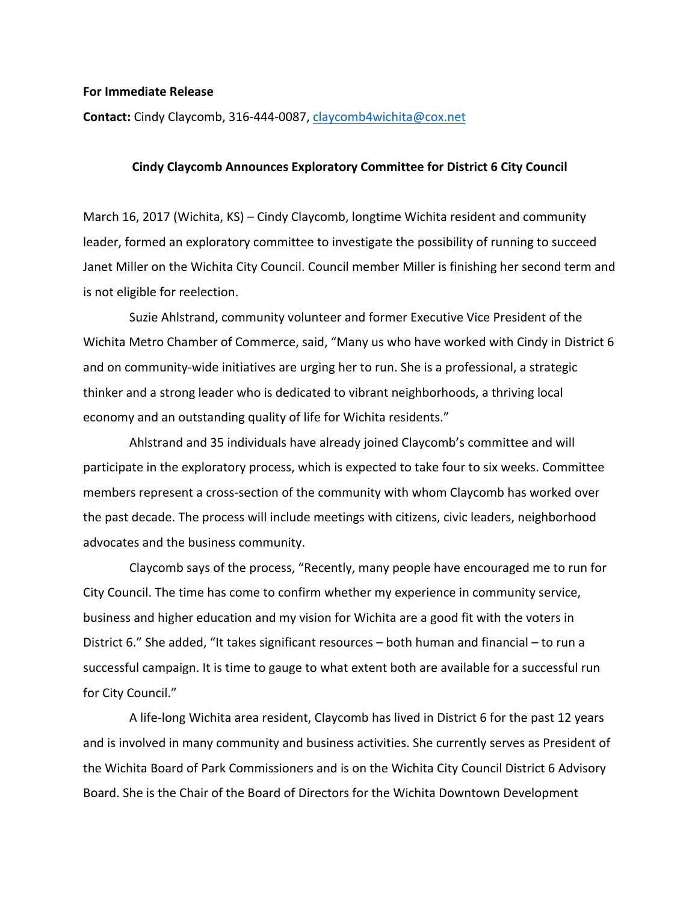## **For Immediate Release**

**Contact:** Cindy Claycomb, 316-444-0087, claycomb4wichita@cox.net

## **Cindy Claycomb Announces Exploratory Committee for District 6 City Council**

March 16, 2017 (Wichita, KS) – Cindy Claycomb, longtime Wichita resident and community leader, formed an exploratory committee to investigate the possibility of running to succeed Janet Miller on the Wichita City Council. Council member Miller is finishing her second term and is not eligible for reelection.

Suzie Ahlstrand, community volunteer and former Executive Vice President of the Wichita Metro Chamber of Commerce, said, "Many us who have worked with Cindy in District 6 and on community-wide initiatives are urging her to run. She is a professional, a strategic thinker and a strong leader who is dedicated to vibrant neighborhoods, a thriving local economy and an outstanding quality of life for Wichita residents."

Ahlstrand and 35 individuals have already joined Claycomb's committee and will participate in the exploratory process, which is expected to take four to six weeks. Committee members represent a cross-section of the community with whom Claycomb has worked over the past decade. The process will include meetings with citizens, civic leaders, neighborhood advocates and the business community.

Claycomb says of the process, "Recently, many people have encouraged me to run for City Council. The time has come to confirm whether my experience in community service, business and higher education and my vision for Wichita are a good fit with the voters in District  $6.'$  She added, "It takes significant resources  $-$  both human and financial  $-$  to run a successful campaign. It is time to gauge to what extent both are available for a successful run for City Council."

A life-long Wichita area resident, Claycomb has lived in District 6 for the past 12 years and is involved in many community and business activities. She currently serves as President of the Wichita Board of Park Commissioners and is on the Wichita City Council District 6 Advisory Board. She is the Chair of the Board of Directors for the Wichita Downtown Development